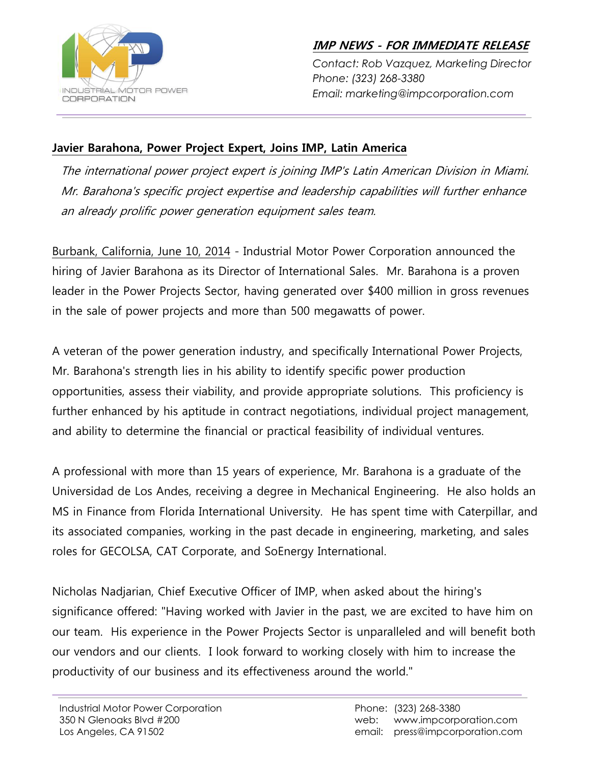

**IMP NEWS - FOR IMMEDIATE RELEASE**

*Contact: Rob Vazquez, Marketing Director Phone: (323) 268-3380 Email: marketing@impcorporation.com*

## **Javier Barahona, Power Project Expert, Joins IMP, Latin America**

The international power project expert is joining IMP's Latin American Division in Miami. Mr. Barahona's specific project expertise and leadership capabilities will further enhance an already prolific power generation equipment sales team.

Burbank, California, June 10, 2014 - Industrial Motor Power Corporation announced the hiring of Javier Barahona as its Director of International Sales. Mr. Barahona is a proven leader in the Power Projects Sector, having generated over \$400 million in gross revenues in the sale of power projects and more than 500 megawatts of power.

A veteran of the power generation industry, and specifically International Power Projects, Mr. Barahona's strength lies in his ability to identify specific power production opportunities, assess their viability, and provide appropriate solutions. This proficiency is further enhanced by his aptitude in contract negotiations, individual project management, and ability to determine the financial or practical feasibility of individual ventures.

A professional with more than 15 years of experience, Mr. Barahona is a graduate of the Universidad de Los Andes, receiving a degree in Mechanical Engineering. He also holds an MS in Finance from Florida International University. He has spent time with Caterpillar, and its associated companies, working in the past decade in engineering, marketing, and sales roles for GECOLSA, CAT Corporate, and SoEnergy International.

Nicholas Nadjarian, Chief Executive Officer of IMP, when asked about the hiring's significance offered: "Having worked with Javier in the past, we are excited to have him on our team. His experience in the Power Projects Sector is unparalleled and will benefit both our vendors and our clients. I look forward to working closely with him to increase the productivity of our business and its effectiveness around the world."